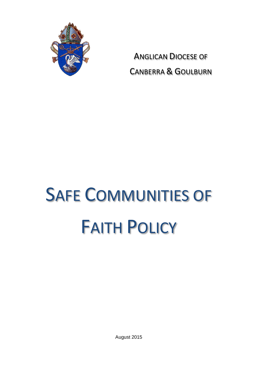

ANGLICAN DIOCESE OF CANBERRA & GOULBURN

# SAFE COMMUNITIES OF FAITH POLICY

August 2015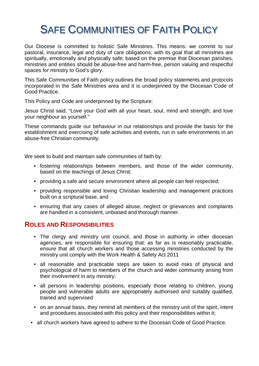# SAFE COMMUNITIES OF FAITH POLICY

Our Diocese is committed to holistic Safe Ministries. This means: we commit to our pastoral, insurance, legal and duty of care obligations; with its goal that all ministries are spiritually, emotionally and physically safe; based on the premise that Diocesan parishes, ministries and entities should be abuse-free and harm-free, person valuing and respectful spaces for ministry to God's glory.

This Safe Communities of Faith policy outlines the broad policy statements and protocols incorporated in the Safe Ministries area and it is underpinned by the Diocesan Code of Good Practice.

This Policy and Code are underpinned by the Scripture:

Jesus Christ said, "Love your God with all your heart, soul, mind and strength; and love your neighbour as yourself."

These commands guide our behaviour in our relationships and provide the basis for the establishment and exercising of safe activities and events, run in safe environments in an abuse-free Christian community.

We seek to build and maintain safe communities of faith by:

- fostering relationships between members, and those of the wider community, based on the teachings of Jesus Christ;
- providing a safe and secure environment where all people can feel respected;
- providing responsible and loving Christian leadership and management practices built on a scriptural base, and
- ensuring that any cases of alleged abuse, neglect or grievances and complaints are handled in a consistent, unbiased and thorough manner.

#### **ROLES AND RESPONSIBILITIES**

- The clergy and ministry unit council, and those in authority in other diocesan agencies, are responsible for ensuring that: as far as is reasonably practicable, ensure that all church workers and those accessing ministries conducted by the ministry unit comply with the Work Health & Safety Act 2011
- all reasonable and practicable steps are taken to avoid risks of physical and psychological of harm to members of the church and wider community arising from their involvement in any ministry;
- all persons in leadership positions, especially those relating to children, young people and vulnerable adults are appropriately authorised and suitably qualified, trained and supervised
- on an annual basis, they remind all members of the ministry unit of the spirit, intent and procedures associated with this policy and their responsibilities within it;
- all church workers have agreed to adhere to the Diocesan Code of Good Practice.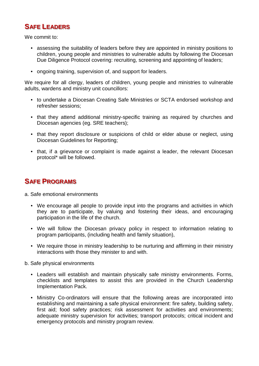# **SAFE LEADERS**

We commit to:

- assessing the suitability of leaders before they are appointed in ministry positions to children, young people and ministries to vulnerable adults by following the Diocesan Due Diligence Protocol covering: recruiting, screening and appointing of leaders;
- ongoing training, supervision of, and support for leaders.

We require for all clergy, leaders of children, young people and ministries to vulnerable adults, wardens and ministry unit councillors:

- to undertake a Diocesan Creating Safe Ministries or SCTA endorsed workshop and refresher sessions;
- that they attend additional ministry-specific training as required by churches and Diocesan agencies (eg. SRE teachers);
- that they report disclosure or suspicions of child or elder abuse or neglect, using Diocesan Guidelines for Reporting;
- that, if a grievance or complaint is made against a leader, the relevant Diocesan protocol\* will be followed.

# **SAFE PROGRAMS**

- a. Safe emotional environments
	- We encourage all people to provide input into the programs and activities in which they are to participate, by valuing and fostering their ideas, and encouraging participation in the life of the church.
	- We will follow the Diocesan privacy policy in respect to information relating to program participants, (including health and family situation),
	- We require those in ministry leadership to be nurturing and affirming in their ministry interactions with those they minister to and with.
- b. Safe physical environments
	- Leaders will establish and maintain physically safe ministry environments. Forms, checklists and templates to assist this are provided in the Church Leadership Implementation Pack.
	- Ministry Co-ordinators will ensure that the following areas are incorporated into establishing and maintaining a safe physical environment: fire safety, building safety, first aid; food safety practices; risk assessment for activities and environments; adequate ministry supervision for activities; transport protocols; critical incident and emergency protocols and ministry program review.